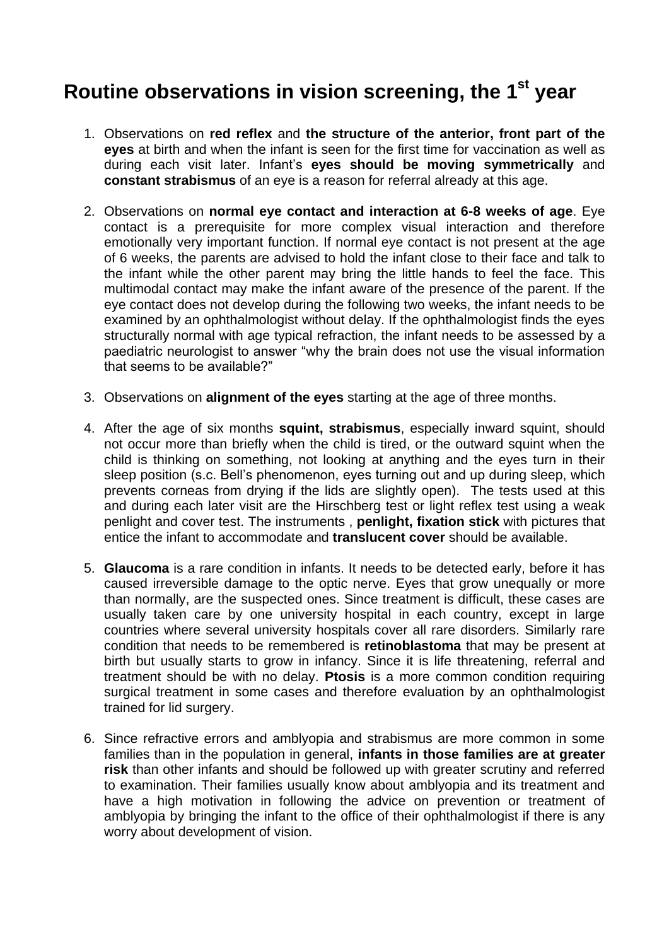## **Routine observations in vision screening, the 1st year**

- 1. Observations on **red reflex** and **the structure of the anterior, front part of the eyes** at birth and when the infant is seen for the first time for vaccination as well as during each visit later. Infant's **eyes should be moving symmetrically** and **constant strabismus** of an eye is a reason for referral already at this age.
- 2. Observations on **normal eye contact and interaction at 6-8 weeks of age**. Eye contact is a prerequisite for more complex visual interaction and therefore emotionally very important function. If normal eye contact is not present at the age of 6 weeks, the parents are advised to hold the infant close to their face and talk to the infant while the other parent may bring the little hands to feel the face. This multimodal contact may make the infant aware of the presence of the parent. If the eye contact does not develop during the following two weeks, the infant needs to be examined by an ophthalmologist without delay. If the ophthalmologist finds the eyes structurally normal with age typical refraction, the infant needs to be assessed by a paediatric neurologist to answer "why the brain does not use the visual information that seems to be available?"
- 3. Observations on **alignment of the eyes** starting at the age of three months.
- 4. After the age of six months **squint, strabismus**, especially inward squint, should not occur more than briefly when the child is tired, or the outward squint when the child is thinking on something, not looking at anything and the eyes turn in their sleep position (s.c. Bell's phenomenon, eyes turning out and up during sleep, which prevents corneas from drying if the lids are slightly open). The tests used at this and during each later visit are the Hirschberg test or light reflex test using a weak penlight and cover test. The instruments , **penlight, fixation stick** with pictures that entice the infant to accommodate and **translucent cover** should be available.
- 5. **Glaucoma** is a rare condition in infants. It needs to be detected early, before it has caused irreversible damage to the optic nerve. Eyes that grow unequally or more than normally, are the suspected ones. Since treatment is difficult, these cases are usually taken care by one university hospital in each country, except in large countries where several university hospitals cover all rare disorders. Similarly rare condition that needs to be remembered is **retinoblastoma** that may be present at birth but usually starts to grow in infancy. Since it is life threatening, referral and treatment should be with no delay. **Ptosis** is a more common condition requiring surgical treatment in some cases and therefore evaluation by an ophthalmologist trained for lid surgery.
- 6. Since refractive errors and amblyopia and strabismus are more common in some families than in the population in general, **infants in those families are at greater risk** than other infants and should be followed up with greater scrutiny and referred to examination. Their families usually know about amblyopia and its treatment and have a high motivation in following the advice on prevention or treatment of amblyopia by bringing the infant to the office of their ophthalmologist if there is any worry about development of vision.